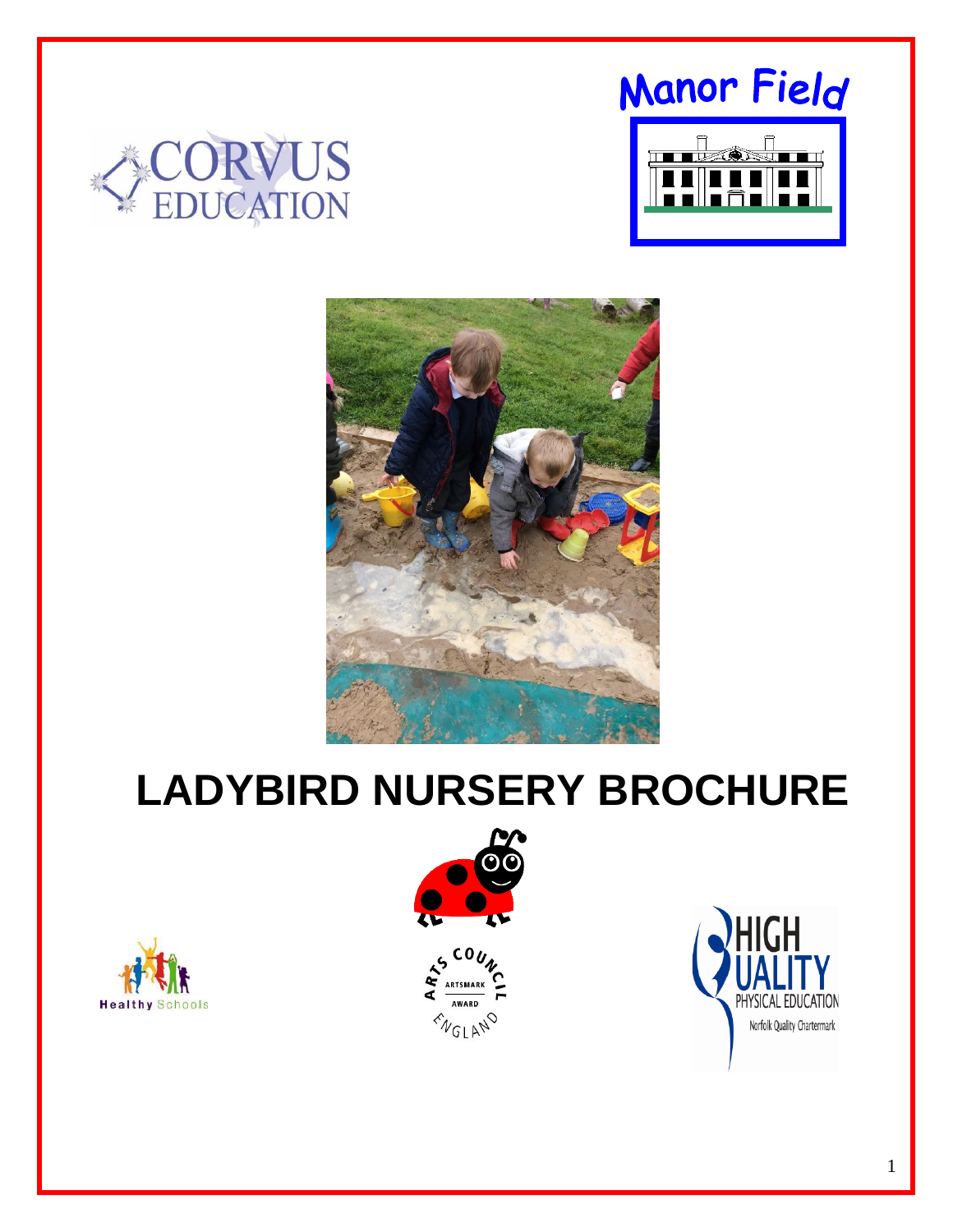# Manor Field







# **LADYBIRD NURSERY BROCHURE**





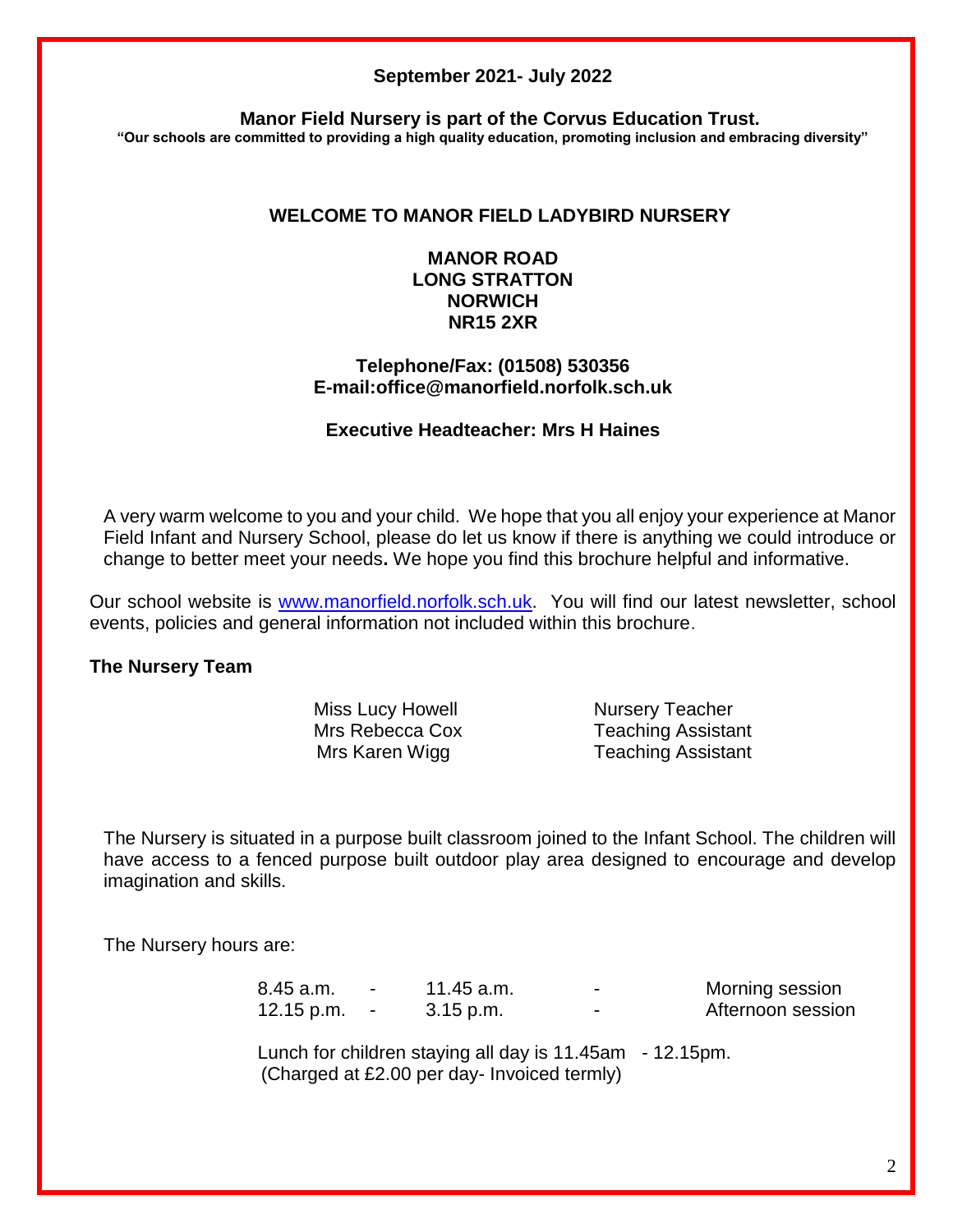#### **September 2021- July 2022**

**Manor Field Nursery is part of the Corvus Education Trust.**

**"Our schools are committed to providing a high quality education, promoting inclusion and embracing diversity"**

# **WELCOME TO MANOR FIELD LADYBIRD NURSERY**

## **MANOR ROAD LONG STRATTON NORWICH NR15 2XR**

#### **Telephone/Fax: (01508) 530356 E-mail:office@manorfield.norfolk.sch.uk**

## **Executive Headteacher: Mrs H Haines**

A very warm welcome to you and your child. We hope that you all enjoy your experience at Manor Field Infant and Nursery School, please do let us know if there is anything we could introduce or change to better meet your needs**.** We hope you find this brochure helpful and informative.

Our school website is [www.manorfield.norfolk.sch.uk.](http://www.manorfield.norfolk.sch.uk/) You will find our latest newsletter, school events, policies and general information not included within this brochure.

## **The Nursery Team**

Miss Lucy Howell Nursery Teacher

Mrs Rebecca Cox Teaching Assistant Mrs Karen Wigg Teaching Assistant

The Nursery is situated in a purpose built classroom joined to the Infant School. The children will have access to a fenced purpose built outdoor play area designed to encourage and develop imagination and skills.

The Nursery hours are:

8.45 a.m. - 11.45 a.m. - Morning session 12.15 p.m.  $\cdot$  3.15 p.m.  $\cdot$  Afternoon session

Lunch for children staying all day is 11.45am - 12.15pm. (Charged at £2.00 per day- Invoiced termly)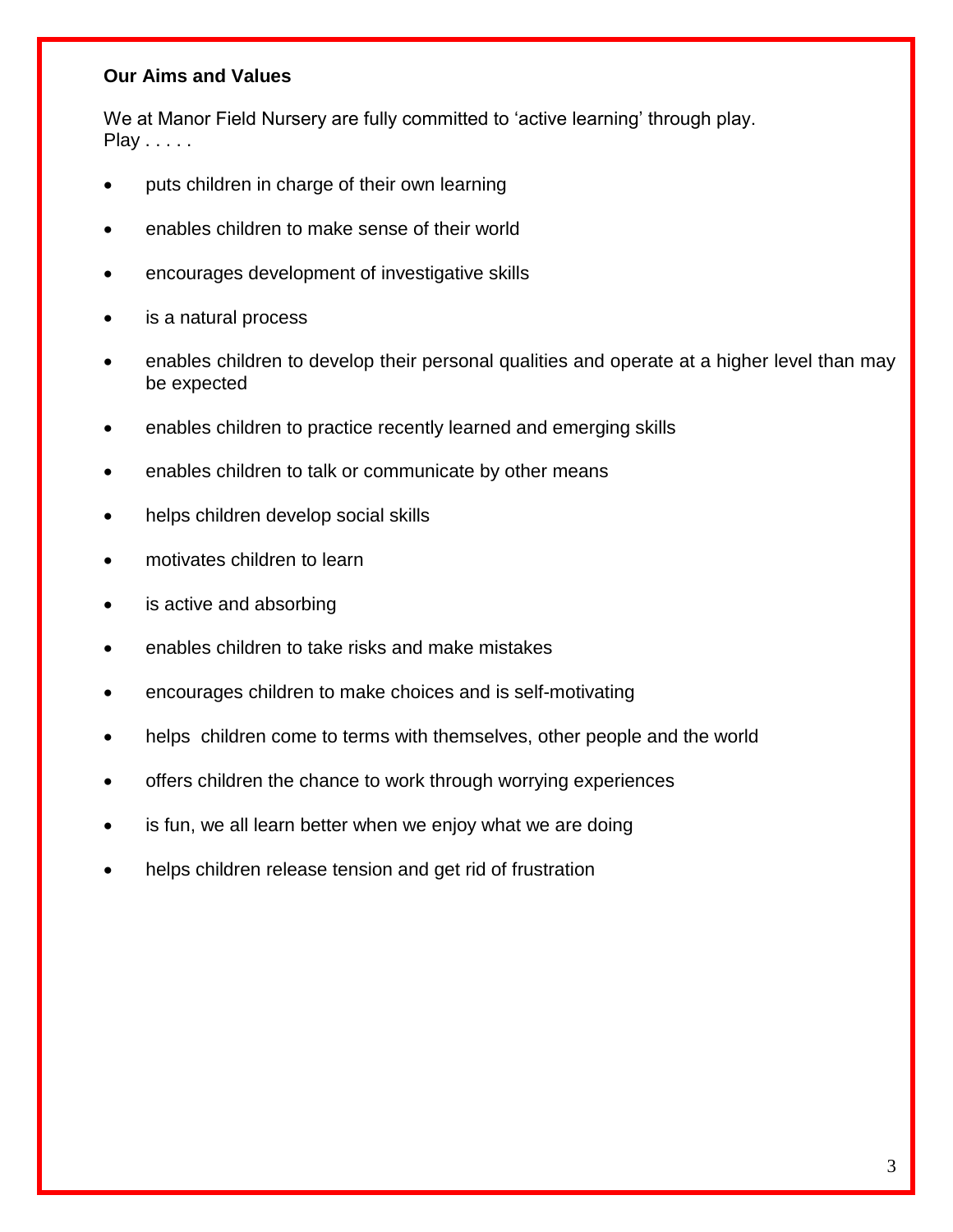## **Our Aims and Values**

We at Manor Field Nursery are fully committed to 'active learning' through play. Play . . . . .

- puts children in charge of their own learning
- enables children to make sense of their world
- encourages development of investigative skills
- is a natural process
- enables children to develop their personal qualities and operate at a higher level than may be expected
- enables children to practice recently learned and emerging skills
- enables children to talk or communicate by other means
- helps children develop social skills
- motivates children to learn
- is active and absorbing
- enables children to take risks and make mistakes
- encourages children to make choices and is self-motivating
- helps children come to terms with themselves, other people and the world
- offers children the chance to work through worrying experiences
- is fun, we all learn better when we enjoy what we are doing
- helps children release tension and get rid of frustration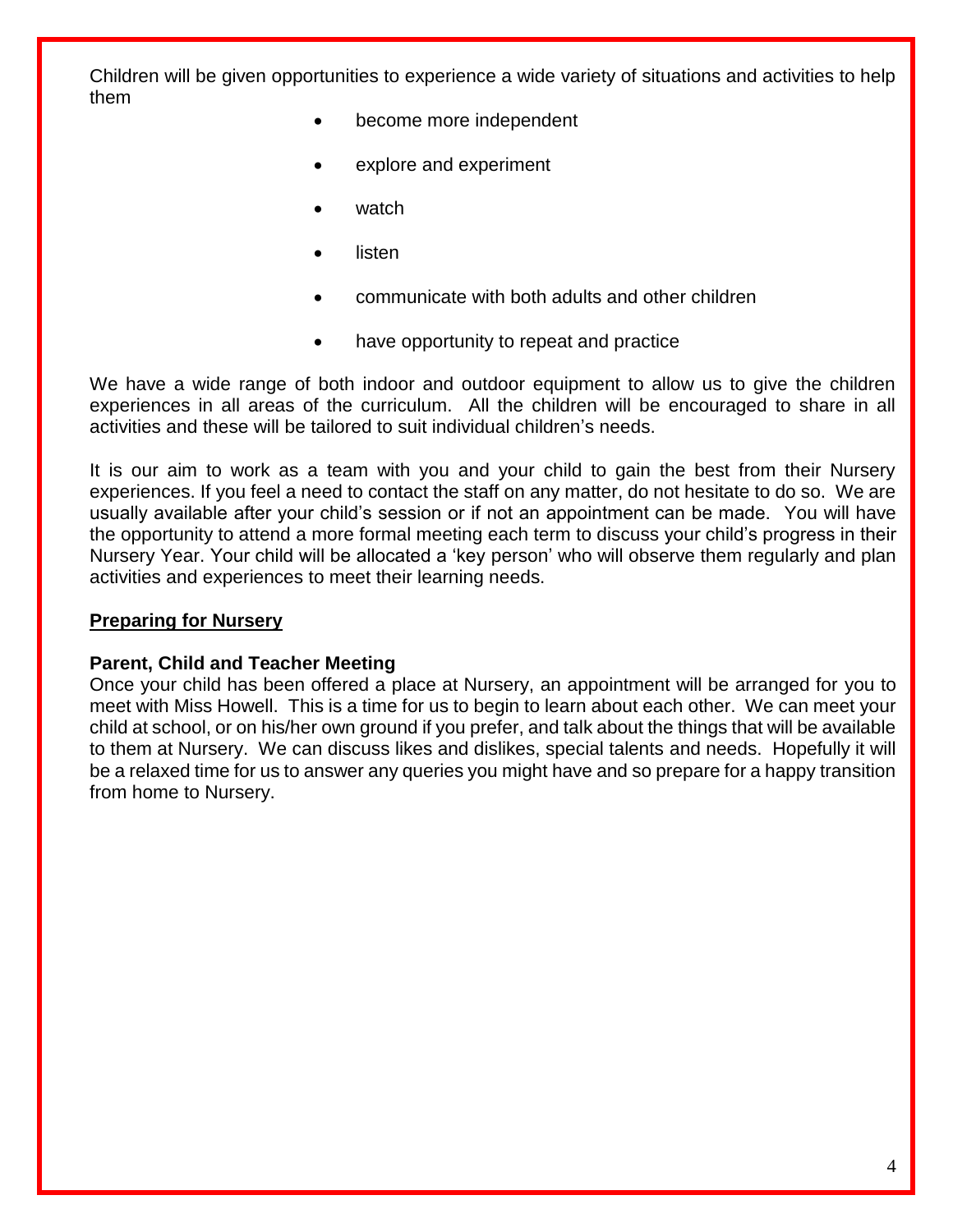Children will be given opportunities to experience a wide variety of situations and activities to help them

- become more independent
- explore and experiment
- watch
- listen
- communicate with both adults and other children
- have opportunity to repeat and practice

We have a wide range of both indoor and outdoor equipment to allow us to give the children experiences in all areas of the curriculum. All the children will be encouraged to share in all activities and these will be tailored to suit individual children's needs.

It is our aim to work as a team with you and your child to gain the best from their Nursery experiences. If you feel a need to contact the staff on any matter, do not hesitate to do so. We are usually available after your child's session or if not an appointment can be made. You will have the opportunity to attend a more formal meeting each term to discuss your child's progress in their Nursery Year. Your child will be allocated a 'key person' who will observe them regularly and plan activities and experiences to meet their learning needs.

#### **Preparing for Nursery**

#### **Parent, Child and Teacher Meeting**

Once your child has been offered a place at Nursery, an appointment will be arranged for you to meet with Miss Howell. This is a time for us to begin to learn about each other. We can meet your child at school, or on his/her own ground if you prefer, and talk about the things that will be available to them at Nursery. We can discuss likes and dislikes, special talents and needs. Hopefully it will be a relaxed time for us to answer any queries you might have and so prepare for a happy transition from home to Nursery.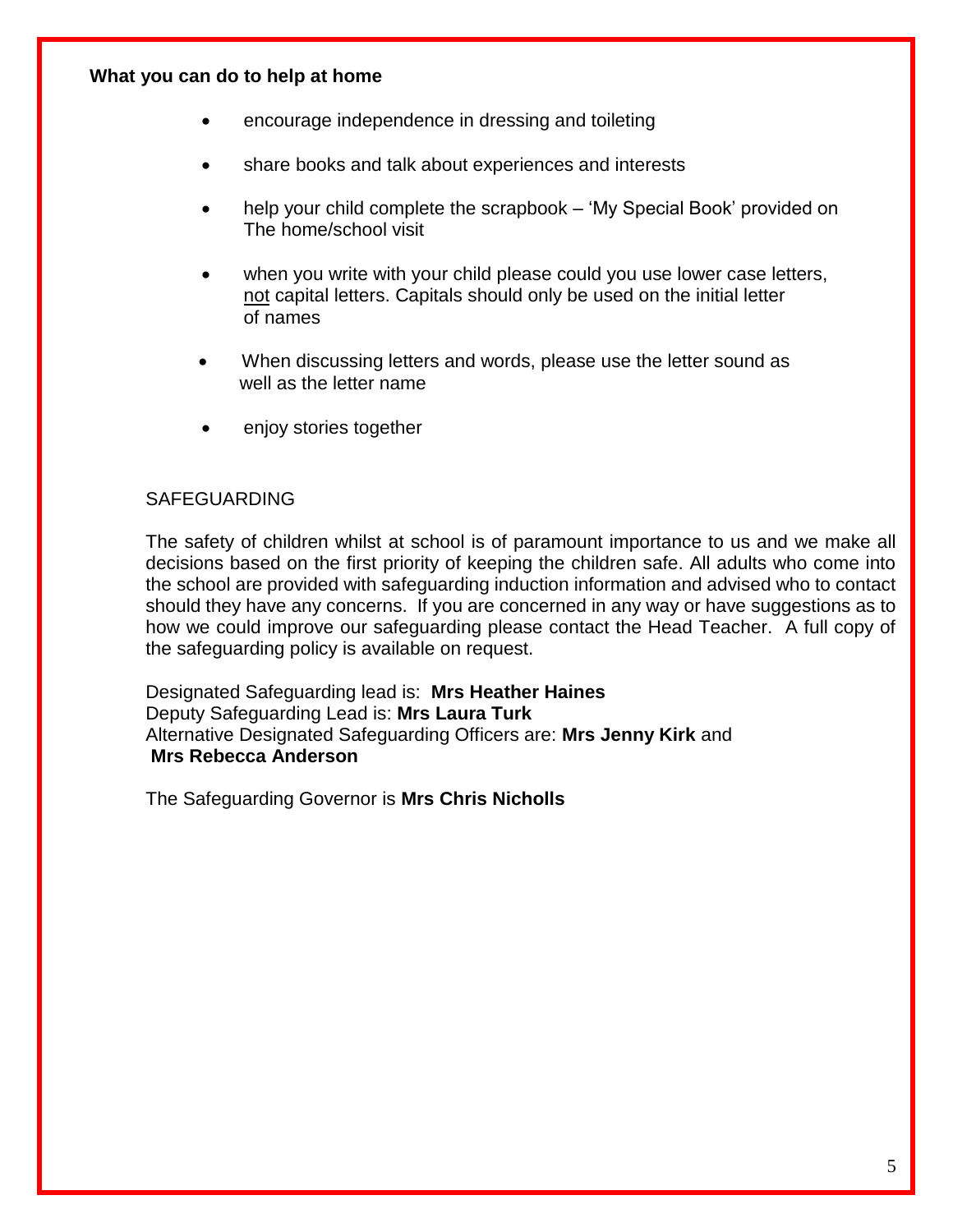#### **What you can do to help at home**

- encourage independence in dressing and toileting
- share books and talk about experiences and interests
- help your child complete the scrapbook 'My Special Book' provided on The home/school visit
- when you write with your child please could you use lower case letters, not capital letters. Capitals should only be used on the initial letter of names
- When discussing letters and words, please use the letter sound as well as the letter name
- enjoy stories together

## SAFEGUARDING

The safety of children whilst at school is of paramount importance to us and we make all decisions based on the first priority of keeping the children safe. All adults who come into the school are provided with safeguarding induction information and advised who to contact should they have any concerns. If you are concerned in any way or have suggestions as to how we could improve our safeguarding please contact the Head Teacher. A full copy of the safeguarding policy is available on request.

Designated Safeguarding lead is: **Mrs Heather Haines** Deputy Safeguarding Lead is: **Mrs Laura Turk** Alternative Designated Safeguarding Officers are: **Mrs Jenny Kirk** and **Mrs Rebecca Anderson**

The Safeguarding Governor is **Mrs Chris Nicholls**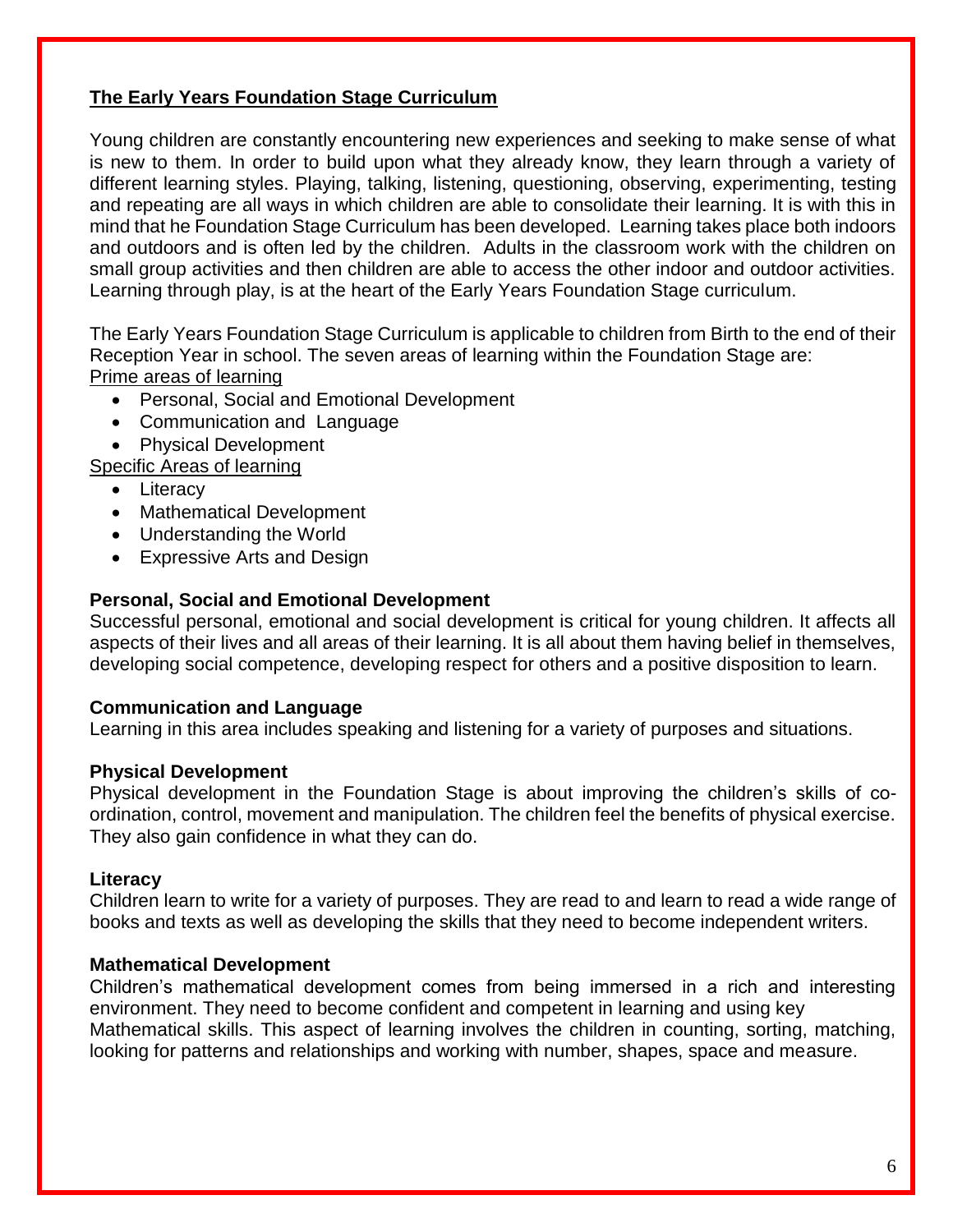# **The Early Years Foundation Stage Curriculum**

Young children are constantly encountering new experiences and seeking to make sense of what is new to them. In order to build upon what they already know, they learn through a variety of different learning styles. Playing, talking, listening, questioning, observing, experimenting, testing and repeating are all ways in which children are able to consolidate their learning. It is with this in mind that he Foundation Stage Curriculum has been developed. Learning takes place both indoors and outdoors and is often led by the children. Adults in the classroom work with the children on small group activities and then children are able to access the other indoor and outdoor activities. Learning through play, is at the heart of the Early Years Foundation Stage curriculum.

The Early Years Foundation Stage Curriculum is applicable to children from Birth to the end of their Reception Year in school. The seven areas of learning within the Foundation Stage are: Prime areas of learning

- Personal, Social and Emotional Development
- Communication and Language
- Physical Development

Specific Areas of learning

- Literacy
- Mathematical Development
- Understanding the World
- Expressive Arts and Design

# **Personal, Social and Emotional Development**

Successful personal, emotional and social development is critical for young children. It affects all aspects of their lives and all areas of their learning. It is all about them having belief in themselves, developing social competence, developing respect for others and a positive disposition to learn.

## **Communication and Language**

Learning in this area includes speaking and listening for a variety of purposes and situations.

## **Physical Development**

Physical development in the Foundation Stage is about improving the children's skills of coordination, control, movement and manipulation. The children feel the benefits of physical exercise. They also gain confidence in what they can do.

## **Literacy**

Children learn to write for a variety of purposes. They are read to and learn to read a wide range of books and texts as well as developing the skills that they need to become independent writers.

## **Mathematical Development**

Children's mathematical development comes from being immersed in a rich and interesting environment. They need to become confident and competent in learning and using key Mathematical skills. This aspect of learning involves the children in counting, sorting, matching, looking for patterns and relationships and working with number, shapes, space and measure.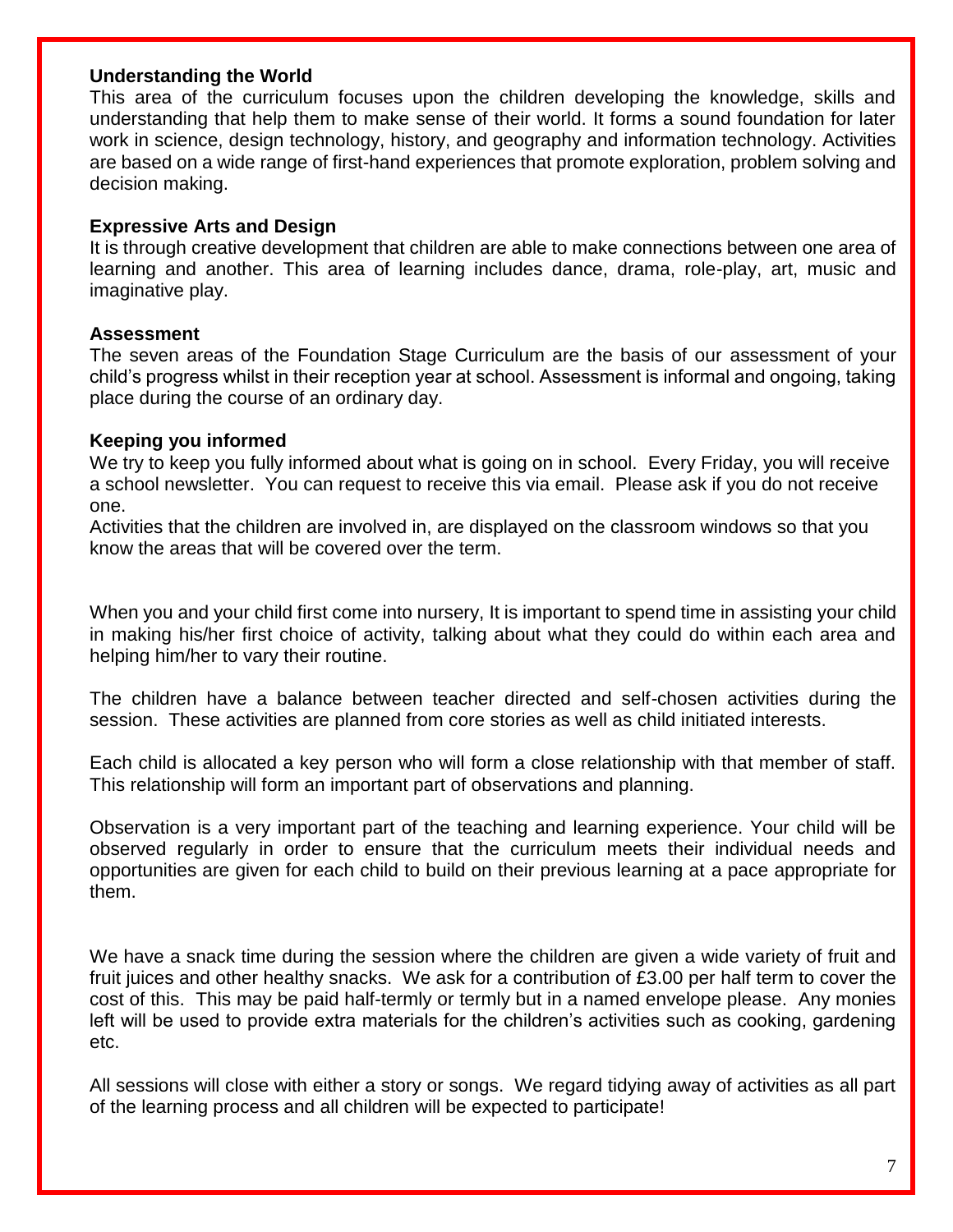#### **Understanding the World**

This area of the curriculum focuses upon the children developing the knowledge, skills and understanding that help them to make sense of their world. It forms a sound foundation for later work in science, design technology, history, and geography and information technology. Activities are based on a wide range of first-hand experiences that promote exploration, problem solving and decision making.

#### **Expressive Arts and Design**

It is through creative development that children are able to make connections between one area of learning and another. This area of learning includes dance, drama, role-play, art, music and imaginative play.

#### **Assessment**

The seven areas of the Foundation Stage Curriculum are the basis of our assessment of your child's progress whilst in their reception year at school. Assessment is informal and ongoing, taking place during the course of an ordinary day.

#### **Keeping you informed**

We try to keep you fully informed about what is going on in school. Every Friday, you will receive a school newsletter. You can request to receive this via email. Please ask if you do not receive one.

Activities that the children are involved in, are displayed on the classroom windows so that you know the areas that will be covered over the term.

When you and your child first come into nursery, It is important to spend time in assisting your child in making his/her first choice of activity, talking about what they could do within each area and helping him/her to vary their routine.

The children have a balance between teacher directed and self-chosen activities during the session. These activities are planned from core stories as well as child initiated interests.

Each child is allocated a key person who will form a close relationship with that member of staff. This relationship will form an important part of observations and planning.

Observation is a very important part of the teaching and learning experience. Your child will be observed regularly in order to ensure that the curriculum meets their individual needs and opportunities are given for each child to build on their previous learning at a pace appropriate for them.

We have a snack time during the session where the children are given a wide variety of fruit and fruit juices and other healthy snacks. We ask for a contribution of £3.00 per half term to cover the cost of this. This may be paid half-termly or termly but in a named envelope please. Any monies left will be used to provide extra materials for the children's activities such as cooking, gardening etc.

All sessions will close with either a story or songs. We regard tidying away of activities as all part of the learning process and all children will be expected to participate!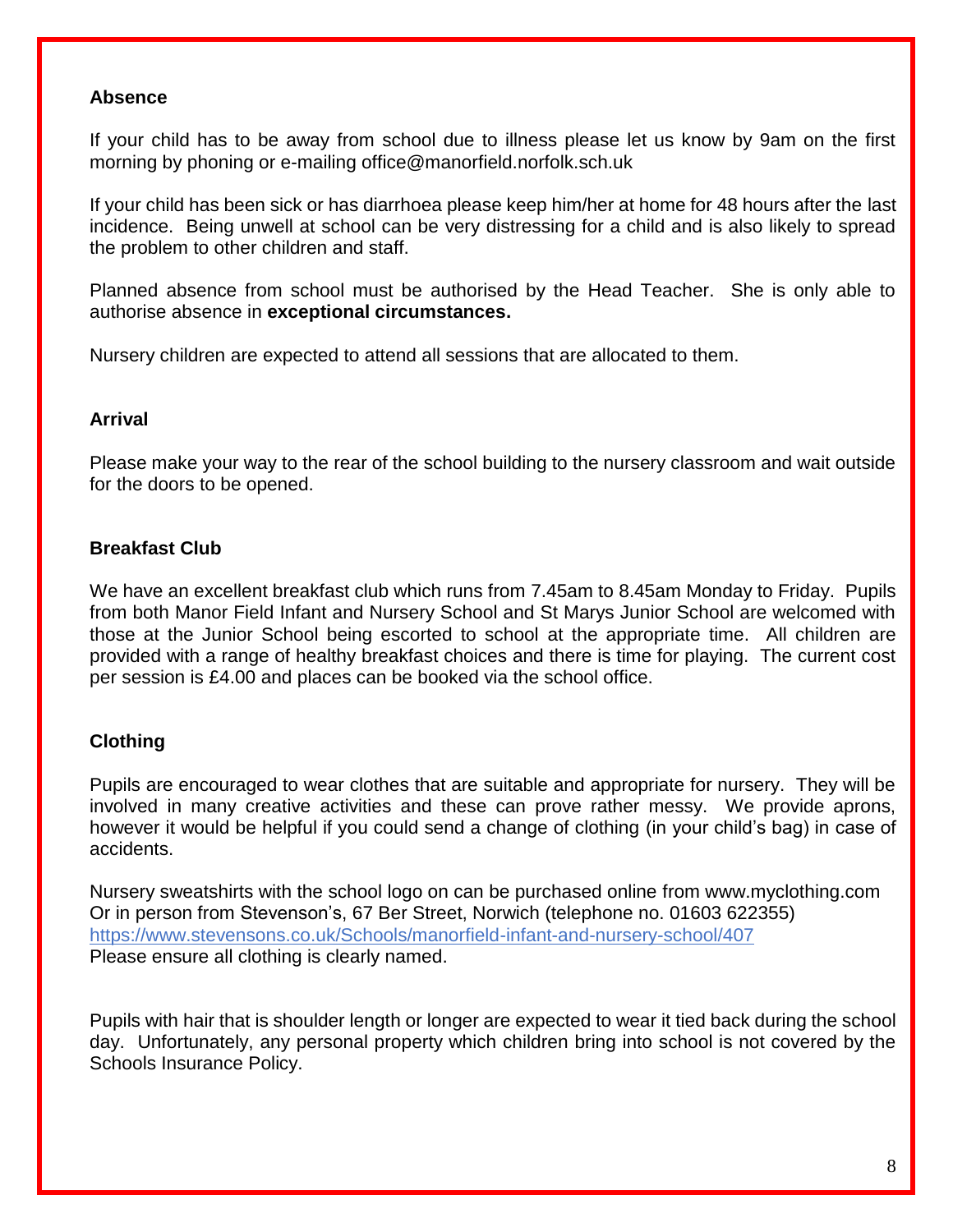#### **Absence**

If your child has to be away from school due to illness please let us know by 9am on the first morning by phoning or e-mailing office@manorfield.norfolk.sch.uk

If your child has been sick or has diarrhoea please keep him/her at home for 48 hours after the last incidence. Being unwell at school can be very distressing for a child and is also likely to spread the problem to other children and staff.

Planned absence from school must be authorised by the Head Teacher. She is only able to authorise absence in **exceptional circumstances.**

Nursery children are expected to attend all sessions that are allocated to them.

## **Arrival**

Please make your way to the rear of the school building to the nursery classroom and wait outside for the doors to be opened.

## **Breakfast Club**

We have an excellent breakfast club which runs from 7.45am to 8.45am Monday to Friday. Pupils from both Manor Field Infant and Nursery School and St Marys Junior School are welcomed with those at the Junior School being escorted to school at the appropriate time. All children are provided with a range of healthy breakfast choices and there is time for playing. The current cost per session is £4.00 and places can be booked via the school office.

# **Clothing**

Pupils are encouraged to wear clothes that are suitable and appropriate for nursery. They will be involved in many creative activities and these can prove rather messy. We provide aprons, however it would be helpful if you could send a change of clothing (in your child's bag) in case of accidents.

Nursery sweatshirts with the school logo on can be purchased online from www.myclothing.com Or in person from Stevenson's, 67 Ber Street, Norwich (telephone no. 01603 622355) <https://www.stevensons.co.uk/Schools/manorfield-infant-and-nursery-school/407> Please ensure all clothing is clearly named.

Pupils with hair that is shoulder length or longer are expected to wear it tied back during the school day. Unfortunately, any personal property which children bring into school is not covered by the Schools Insurance Policy.